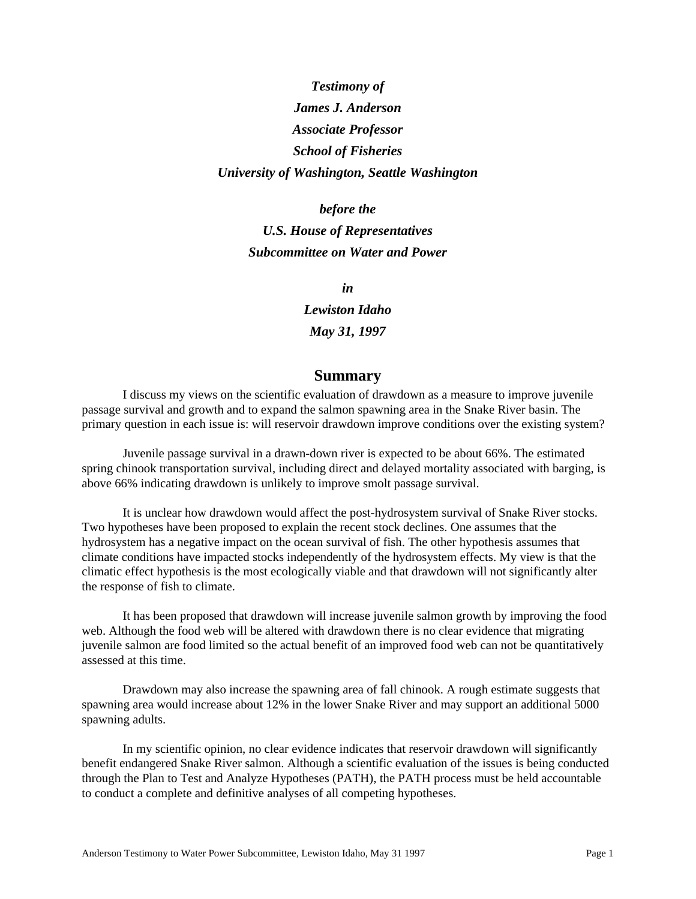## *Testimony of James J. Anderson Associate Professor School of Fisheries University of Washington, Seattle Washington*

*before the U.S. House of Representatives Subcommittee on Water and Power*

> *in Lewiston Idaho May 31, 1997*

### **Summary**

I discuss my views on the scientific evaluation of drawdown as a measure to improve juvenile passage survival and growth and to expand the salmon spawning area in the Snake River basin. The primary question in each issue is: will reservoir drawdown improve conditions over the existing system?

Juvenile passage survival in a drawn-down river is expected to be about 66%. The estimated spring chinook transportation survival, including direct and delayed mortality associated with barging, is above 66% indicating drawdown is unlikely to improve smolt passage survival.

It is unclear how drawdown would affect the post-hydrosystem survival of Snake River stocks. Two hypotheses have been proposed to explain the recent stock declines. One assumes that the hydrosystem has a negative impact on the ocean survival of fish. The other hypothesis assumes that climate conditions have impacted stocks independently of the hydrosystem effects. My view is that the climatic effect hypothesis is the most ecologically viable and that drawdown will not significantly alter the response of fish to climate.

It has been proposed that drawdown will increase juvenile salmon growth by improving the food web. Although the food web will be altered with drawdown there is no clear evidence that migrating juvenile salmon are food limited so the actual benefit of an improved food web can not be quantitatively assessed at this time.

Drawdown may also increase the spawning area of fall chinook. A rough estimate suggests that spawning area would increase about 12% in the lower Snake River and may support an additional 5000 spawning adults.

In my scientific opinion, no clear evidence indicates that reservoir drawdown will significantly benefit endangered Snake River salmon. Although a scientific evaluation of the issues is being conducted through the Plan to Test and Analyze Hypotheses (PATH), the PATH process must be held accountable to conduct a complete and definitive analyses of all competing hypotheses.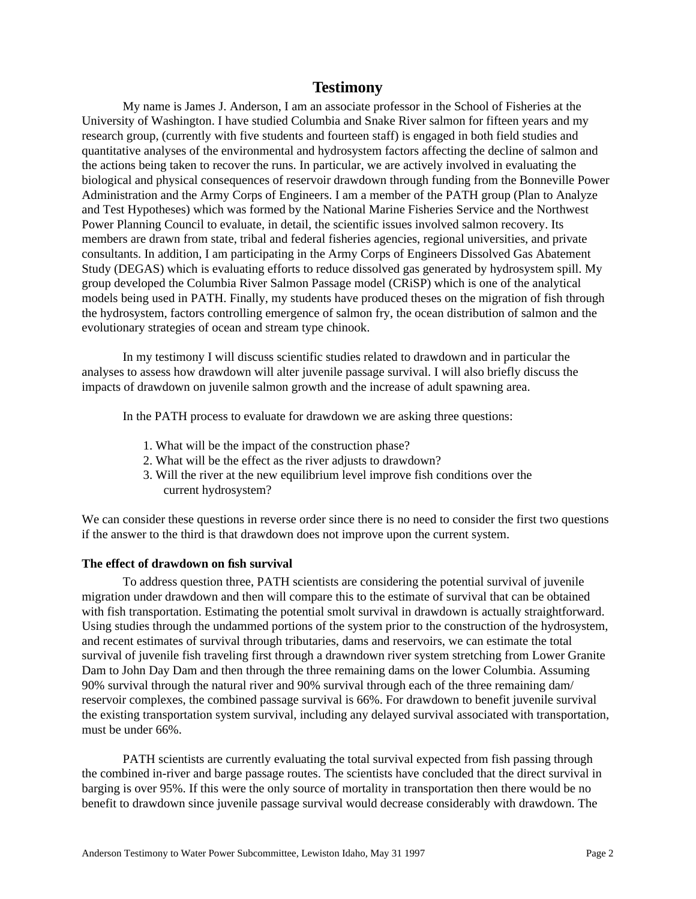### **Testimony**

My name is James J. Anderson, I am an associate professor in the School of Fisheries at the University of Washington. I have studied Columbia and Snake River salmon for fifteen years and my research group, (currently with five students and fourteen staff) is engaged in both field studies and quantitative analyses of the environmental and hydrosystem factors affecting the decline of salmon and the actions being taken to recover the runs. In particular, we are actively involved in evaluating the biological and physical consequences of reservoir drawdown through funding from the Bonneville Power Administration and the Army Corps of Engineers. I am a member of the PATH group (Plan to Analyze and Test Hypotheses) which was formed by the National Marine Fisheries Service and the Northwest Power Planning Council to evaluate, in detail, the scientific issues involved salmon recovery. Its members are drawn from state, tribal and federal fisheries agencies, regional universities, and private consultants. In addition, I am participating in the Army Corps of Engineers Dissolved Gas Abatement Study (DEGAS) which is evaluating efforts to reduce dissolved gas generated by hydrosystem spill. My group developed the Columbia River Salmon Passage model (CRiSP) which is one of the analytical models being used in PATH. Finally, my students have produced theses on the migration of fish through the hydrosystem, factors controlling emergence of salmon fry, the ocean distribution of salmon and the evolutionary strategies of ocean and stream type chinook.

In my testimony I will discuss scientific studies related to drawdown and in particular the analyses to assess how drawdown will alter juvenile passage survival. I will also briefly discuss the impacts of drawdown on juvenile salmon growth and the increase of adult spawning area.

In the PATH process to evaluate for drawdown we are asking three questions:

- 1. What will be the impact of the construction phase?
- 2. What will be the effect as the river adjusts to drawdown?
- 3. Will the river at the new equilibrium level improve fish conditions over the current hydrosystem?

We can consider these questions in reverse order since there is no need to consider the first two questions if the answer to the third is that drawdown does not improve upon the current system.

#### **The effect of drawdown on fish survival**

To address question three, PATH scientists are considering the potential survival of juvenile migration under drawdown and then will compare this to the estimate of survival that can be obtained with fish transportation. Estimating the potential smolt survival in drawdown is actually straightforward. Using studies through the undammed portions of the system prior to the construction of the hydrosystem, and recent estimates of survival through tributaries, dams and reservoirs, we can estimate the total survival of juvenile fish traveling first through a drawndown river system stretching from Lower Granite Dam to John Day Dam and then through the three remaining dams on the lower Columbia. Assuming 90% survival through the natural river and 90% survival through each of the three remaining dam/ reservoir complexes, the combined passage survival is 66%. For drawdown to benefit juvenile survival the existing transportation system survival, including any delayed survival associated with transportation, must be under 66%.

PATH scientists are currently evaluating the total survival expected from fish passing through the combined in-river and barge passage routes. The scientists have concluded that the direct survival in barging is over 95%. If this were the only source of mortality in transportation then there would be no benefit to drawdown since juvenile passage survival would decrease considerably with drawdown. The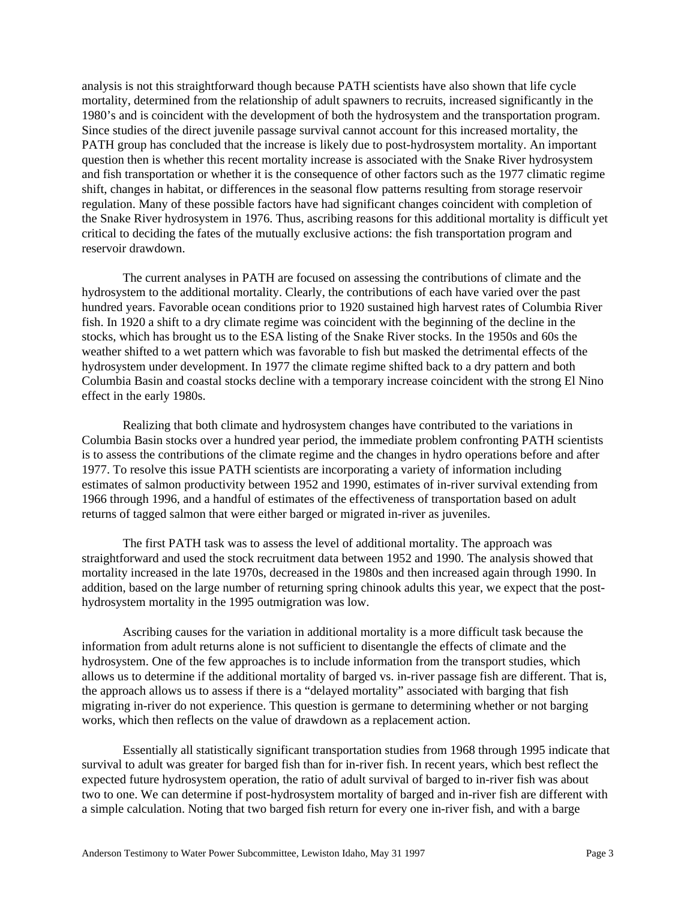analysis is not this straightforward though because PATH scientists have also shown that life cycle mortality, determined from the relationship of adult spawners to recruits, increased significantly in the 1980's and is coincident with the development of both the hydrosystem and the transportation program. Since studies of the direct juvenile passage survival cannot account for this increased mortality, the PATH group has concluded that the increase is likely due to post-hydrosystem mortality. An important question then is whether this recent mortality increase is associated with the Snake River hydrosystem and fish transportation or whether it is the consequence of other factors such as the 1977 climatic regime shift, changes in habitat, or differences in the seasonal flow patterns resulting from storage reservoir regulation. Many of these possible factors have had significant changes coincident with completion of the Snake River hydrosystem in 1976. Thus, ascribing reasons for this additional mortality is difficult yet critical to deciding the fates of the mutually exclusive actions: the fish transportation program and reservoir drawdown.

The current analyses in PATH are focused on assessing the contributions of climate and the hydrosystem to the additional mortality. Clearly, the contributions of each have varied over the past hundred years. Favorable ocean conditions prior to 1920 sustained high harvest rates of Columbia River fish. In 1920 a shift to a dry climate regime was coincident with the beginning of the decline in the stocks, which has brought us to the ESA listing of the Snake River stocks. In the 1950s and 60s the weather shifted to a wet pattern which was favorable to fish but masked the detrimental effects of the hydrosystem under development. In 1977 the climate regime shifted back to a dry pattern and both Columbia Basin and coastal stocks decline with a temporary increase coincident with the strong El Nino effect in the early 1980s.

Realizing that both climate and hydrosystem changes have contributed to the variations in Columbia Basin stocks over a hundred year period, the immediate problem confronting PATH scientists is to assess the contributions of the climate regime and the changes in hydro operations before and after 1977. To resolve this issue PATH scientists are incorporating a variety of information including estimates of salmon productivity between 1952 and 1990, estimates of in-river survival extending from 1966 through 1996, and a handful of estimates of the effectiveness of transportation based on adult returns of tagged salmon that were either barged or migrated in-river as juveniles.

The first PATH task was to assess the level of additional mortality. The approach was straightforward and used the stock recruitment data between 1952 and 1990. The analysis showed that mortality increased in the late 1970s, decreased in the 1980s and then increased again through 1990. In addition, based on the large number of returning spring chinook adults this year, we expect that the posthydrosystem mortality in the 1995 outmigration was low.

Ascribing causes for the variation in additional mortality is a more difficult task because the information from adult returns alone is not sufficient to disentangle the effects of climate and the hydrosystem. One of the few approaches is to include information from the transport studies, which allows us to determine if the additional mortality of barged vs. in-river passage fish are different. That is, the approach allows us to assess if there is a "delayed mortality" associated with barging that fish migrating in-river do not experience. This question is germane to determining whether or not barging works, which then reflects on the value of drawdown as a replacement action.

Essentially all statistically significant transportation studies from 1968 through 1995 indicate that survival to adult was greater for barged fish than for in-river fish. In recent years, which best reflect the expected future hydrosystem operation, the ratio of adult survival of barged to in-river fish was about two to one. We can determine if post-hydrosystem mortality of barged and in-river fish are different with a simple calculation. Noting that two barged fish return for every one in-river fish, and with a barge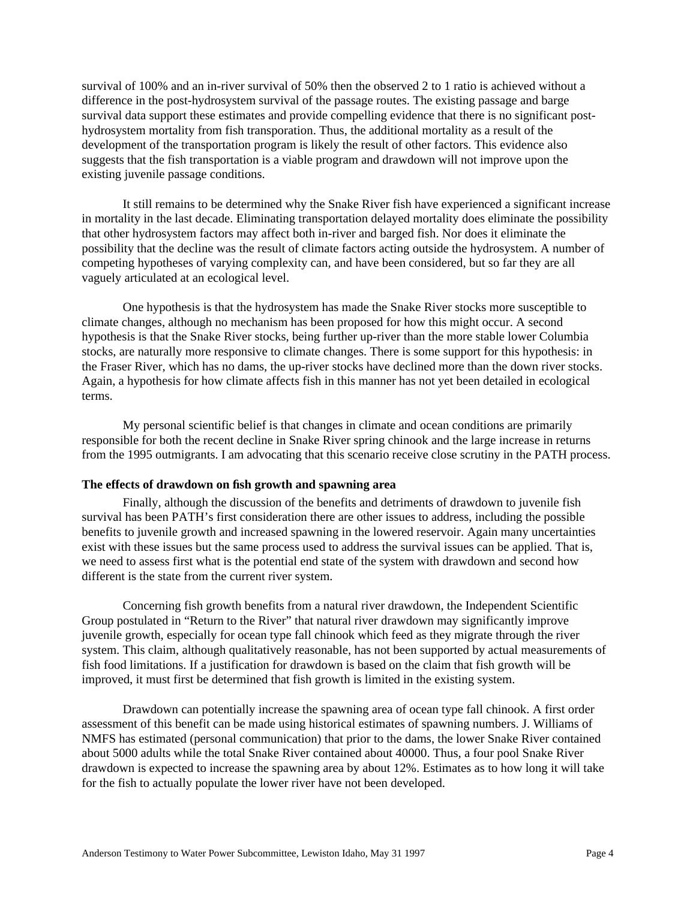survival of 100% and an in-river survival of 50% then the observed 2 to 1 ratio is achieved without a difference in the post-hydrosystem survival of the passage routes. The existing passage and barge survival data support these estimates and provide compelling evidence that there is no significant posthydrosystem mortality from fish transporation. Thus, the additional mortality as a result of the development of the transportation program is likely the result of other factors. This evidence also suggests that the fish transportation is a viable program and drawdown will not improve upon the existing juvenile passage conditions.

It still remains to be determined why the Snake River fish have experienced a significant increase in mortality in the last decade. Eliminating transportation delayed mortality does eliminate the possibility that other hydrosystem factors may affect both in-river and barged fish. Nor does it eliminate the possibility that the decline was the result of climate factors acting outside the hydrosystem. A number of competing hypotheses of varying complexity can, and have been considered, but so far they are all vaguely articulated at an ecological level.

One hypothesis is that the hydrosystem has made the Snake River stocks more susceptible to climate changes, although no mechanism has been proposed for how this might occur. A second hypothesis is that the Snake River stocks, being further up-river than the more stable lower Columbia stocks, are naturally more responsive to climate changes. There is some support for this hypothesis: in the Fraser River, which has no dams, the up-river stocks have declined more than the down river stocks. Again, a hypothesis for how climate affects fish in this manner has not yet been detailed in ecological terms.

My personal scientific belief is that changes in climate and ocean conditions are primarily responsible for both the recent decline in Snake River spring chinook and the large increase in returns from the 1995 outmigrants. I am advocating that this scenario receive close scrutiny in the PATH process.

#### **The effects of drawdown on fish growth and spawning area**

Finally, although the discussion of the benefits and detriments of drawdown to juvenile fish survival has been PATH's first consideration there are other issues to address, including the possible benefits to juvenile growth and increased spawning in the lowered reservoir. Again many uncertainties exist with these issues but the same process used to address the survival issues can be applied. That is, we need to assess first what is the potential end state of the system with drawdown and second how different is the state from the current river system.

Concerning fish growth benefits from a natural river drawdown, the Independent Scientific Group postulated in "Return to the River" that natural river drawdown may significantly improve juvenile growth, especially for ocean type fall chinook which feed as they migrate through the river system. This claim, although qualitatively reasonable, has not been supported by actual measurements of fish food limitations. If a justification for drawdown is based on the claim that fish growth will be improved, it must first be determined that fish growth is limited in the existing system.

Drawdown can potentially increase the spawning area of ocean type fall chinook. A first order assessment of this benefit can be made using historical estimates of spawning numbers. J. Williams of NMFS has estimated (personal communication) that prior to the dams, the lower Snake River contained about 5000 adults while the total Snake River contained about 40000. Thus, a four pool Snake River drawdown is expected to increase the spawning area by about 12%. Estimates as to how long it will take for the fish to actually populate the lower river have not been developed.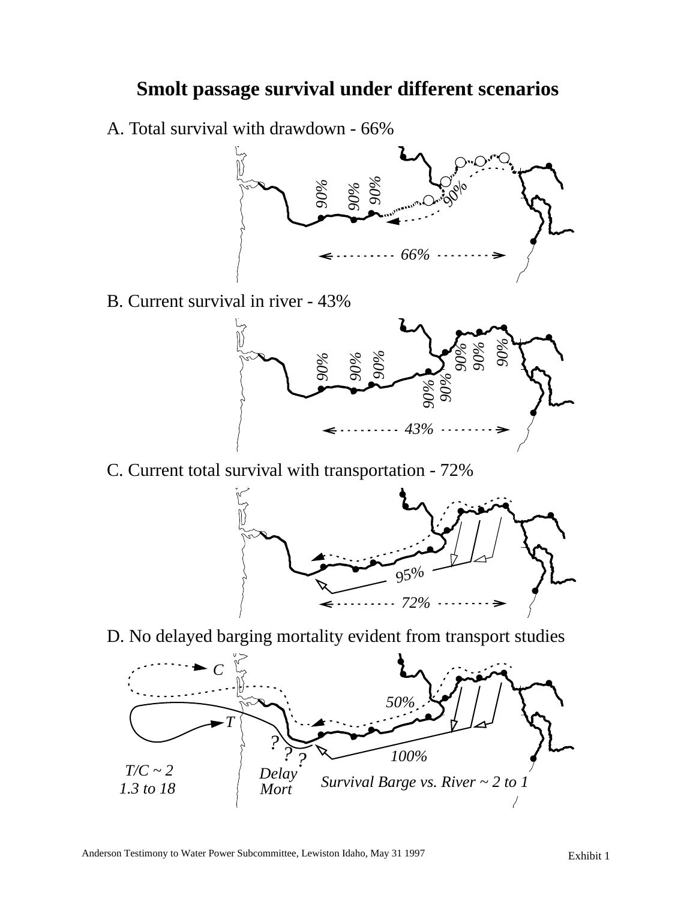# **Smolt passage survival under different scenarios**

A. Total survival with drawdown - 66%



B. Current survival in river - 43%



C. Current total survival with transportation - 72%



D. No delayed barging mortality evident from transport studies

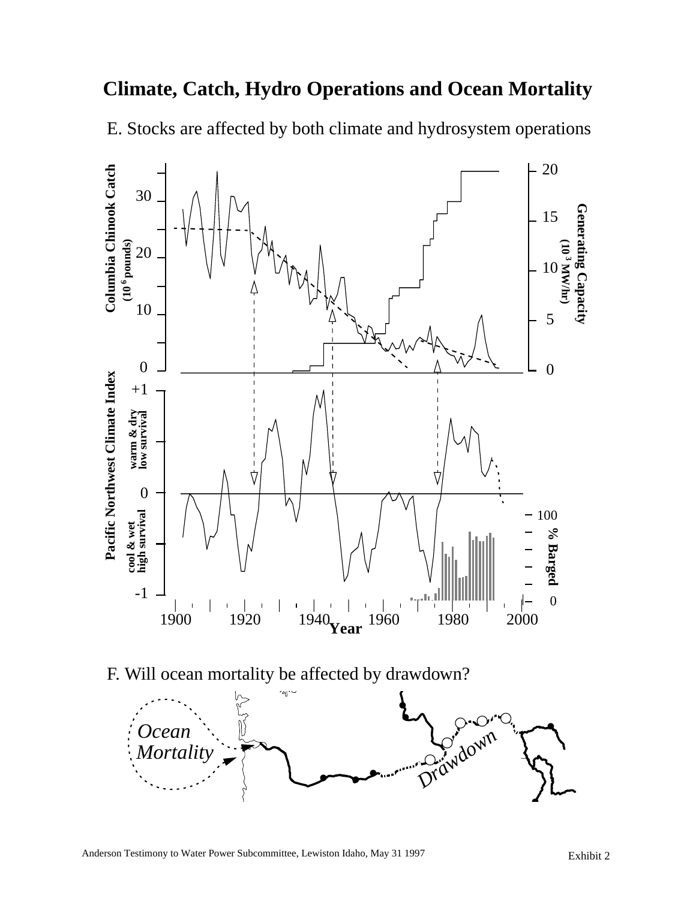# **Climate, Catch, Hydro Operations and Ocean Mortality**

E. Stocks are affected by both climate and hydrosystem operations



F. Will ocean mortality be affected by drawdown?